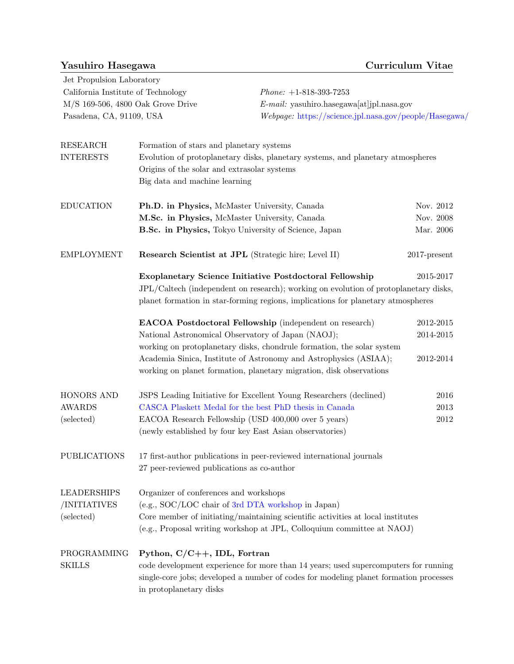## Yasuhiro Hasegawa Curriculum Vitae

Jet Propulsion Laboratory  ${\bf California Institute of Technology} \hspace{25pt} {\it Phone: \ +1}\mbox{-}818\mbox{-}393\mbox{-}7253$ 

M/S 169-506, 4800 Oak Grove Drive E-mail: yasuhiro.hasegawa[at]jpl.nasa.gov Pasadena, CA, 91109, USA Webpage: <https://science.jpl.nasa.gov/people/Hasegawa/>

| <b>RESEARCH</b>     | Formation of stars and planetary systems                                                                                       |                 |  |  |
|---------------------|--------------------------------------------------------------------------------------------------------------------------------|-----------------|--|--|
| <b>INTERESTS</b>    | Evolution of protoplanetary disks, planetary systems, and planetary atmospheres<br>Origins of the solar and extrasolar systems |                 |  |  |
|                     |                                                                                                                                |                 |  |  |
|                     | Big data and machine learning                                                                                                  |                 |  |  |
| <b>EDUCATION</b>    | Ph.D. in Physics, McMaster University, Canada                                                                                  | Nov. 2012       |  |  |
|                     | M.Sc. in Physics, McMaster University, Canada                                                                                  | Nov. 2008       |  |  |
|                     | B.Sc. in Physics, Tokyo University of Science, Japan                                                                           | Mar. 2006       |  |  |
| <b>EMPLOYMENT</b>   | Research Scientist at JPL (Strategic hire; Level II)                                                                           | $2017$ -present |  |  |
|                     | <b>Exoplanetary Science Initiative Postdoctoral Fellowship</b>                                                                 | 2015-2017       |  |  |
|                     | JPL/Caltech (independent on research); working on evolution of protoplanetary disks,                                           |                 |  |  |
|                     | planet formation in star-forming regions, implications for planetary atmospheres                                               |                 |  |  |
|                     | <b>EACOA Postdoctoral Fellowship</b> (independent on research)                                                                 | 2012-2015       |  |  |
|                     | National Astronomical Observatory of Japan (NAOJ);                                                                             | 2014-2015       |  |  |
|                     | working on protoplanetary disks, chondrule formation, the solar system                                                         |                 |  |  |
|                     | Academia Sinica, Institute of Astronomy and Astrophysics (ASIAA);                                                              | 2012-2014       |  |  |
|                     | working on planet formation, planetary migration, disk observations                                                            |                 |  |  |
| HONORS AND          | JSPS Leading Initiative for Excellent Young Researchers (declined)                                                             | 2016            |  |  |
| AWARDS              | CASCA Plaskett Medal for the best PhD thesis in Canada                                                                         | 2013            |  |  |
| (selected)          | EACOA Research Fellowship (USD 400,000 over 5 years)                                                                           | $2012\,$        |  |  |
|                     | (newly established by four key East Asian observatories)                                                                       |                 |  |  |
| <b>PUBLICATIONS</b> | 17 first-author publications in peer-reviewed international journals                                                           |                 |  |  |
|                     | 27 peer-reviewed publications as co-author                                                                                     |                 |  |  |
| <b>LEADERSHIPS</b>  | Organizer of conferences and workshops                                                                                         |                 |  |  |
| /INITIATIVES        | (e.g., SOC/LOC chair of 3rd DTA workshop in Japan)                                                                             |                 |  |  |
| (selected)          | Core member of initiating/maintaining scientific activities at local institutes                                                |                 |  |  |
|                     | (e.g., Proposal writing workshop at JPL, Colloquium committee at NAOJ)                                                         |                 |  |  |
| PROGRAMMING         | Python, $C/C++$ , IDL, Fortran                                                                                                 |                 |  |  |
| <b>SKILLS</b>       | code development experience for more than 14 years; used supercomputers for running                                            |                 |  |  |
|                     | single-core jobs; developed a number of codes for modeling planet formation processes                                          |                 |  |  |
|                     | in protoplanetary disks                                                                                                        |                 |  |  |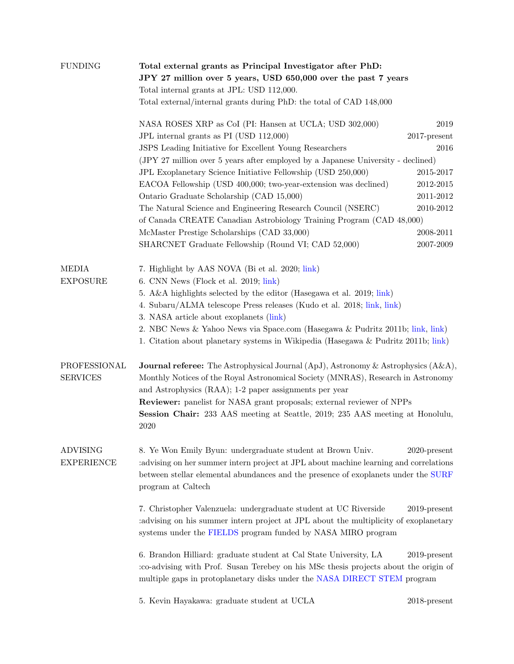| <b>FUNDING</b>                       | Total external grants as Principal Investigator after PhD:                                                                                                                                                                                                                                                                                                                                                           |                 |  |  |
|--------------------------------------|----------------------------------------------------------------------------------------------------------------------------------------------------------------------------------------------------------------------------------------------------------------------------------------------------------------------------------------------------------------------------------------------------------------------|-----------------|--|--|
|                                      | JPY 27 million over 5 years, USD 650,000 over the past 7 years                                                                                                                                                                                                                                                                                                                                                       |                 |  |  |
|                                      | Total internal grants at JPL: USD 112,000.                                                                                                                                                                                                                                                                                                                                                                           |                 |  |  |
|                                      | Total external/internal grants during PhD: the total of CAD 148,000                                                                                                                                                                                                                                                                                                                                                  |                 |  |  |
|                                      | NASA ROSES XRP as CoI (PI: Hansen at UCLA; USD 302,000)                                                                                                                                                                                                                                                                                                                                                              | 2019            |  |  |
|                                      | JPL internal grants as PI (USD 112,000)                                                                                                                                                                                                                                                                                                                                                                              | $2017$ -present |  |  |
|                                      | JSPS Leading Initiative for Excellent Young Researchers                                                                                                                                                                                                                                                                                                                                                              | 2016            |  |  |
|                                      | (JPY 27 million over 5 years after employed by a Japanese University - declined)                                                                                                                                                                                                                                                                                                                                     |                 |  |  |
|                                      | JPL Exoplanetary Science Initiative Fellowship (USD 250,000)                                                                                                                                                                                                                                                                                                                                                         | 2015-2017       |  |  |
|                                      | EACOA Fellowship (USD 400,000; two-year-extension was declined)                                                                                                                                                                                                                                                                                                                                                      | 2012-2015       |  |  |
|                                      | Ontario Graduate Scholarship (CAD 15,000)                                                                                                                                                                                                                                                                                                                                                                            | 2011-2012       |  |  |
|                                      | The Natural Science and Engineering Research Council (NSERC)                                                                                                                                                                                                                                                                                                                                                         | 2010-2012       |  |  |
|                                      | of Canada CREATE Canadian Astrobiology Training Program (CAD 48,000)                                                                                                                                                                                                                                                                                                                                                 |                 |  |  |
|                                      | McMaster Prestige Scholarships (CAD 33,000)                                                                                                                                                                                                                                                                                                                                                                          | 2008-2011       |  |  |
|                                      | SHARCNET Graduate Fellowship (Round VI; CAD 52,000)                                                                                                                                                                                                                                                                                                                                                                  | 2007-2009       |  |  |
|                                      |                                                                                                                                                                                                                                                                                                                                                                                                                      |                 |  |  |
| MEDIA                                | 7. Highlight by AAS NOVA (Bi et al. 2020; link)                                                                                                                                                                                                                                                                                                                                                                      |                 |  |  |
| <b>EXPOSURE</b>                      | 6. CNN News (Flock et al. 2019; link)                                                                                                                                                                                                                                                                                                                                                                                |                 |  |  |
|                                      | 5. A&A highlights selected by the editor (Hasegawa et al. 2019; link)                                                                                                                                                                                                                                                                                                                                                |                 |  |  |
|                                      |                                                                                                                                                                                                                                                                                                                                                                                                                      |                 |  |  |
|                                      | 4. Subaru/ALMA telescope Press releases (Kudo et al. 2018; link, link)<br>3. NASA article about exoplanets (link)                                                                                                                                                                                                                                                                                                    |                 |  |  |
|                                      |                                                                                                                                                                                                                                                                                                                                                                                                                      |                 |  |  |
|                                      | 2. NBC News & Yahoo News via Space.com (Hasegawa & Pudritz 2011b; link, link)                                                                                                                                                                                                                                                                                                                                        |                 |  |  |
|                                      | 1. Citation about planetary systems in Wikipedia (Hasegawa & Pudritz 2011b; link)                                                                                                                                                                                                                                                                                                                                    |                 |  |  |
| PROFESSIONAL<br><b>SERVICES</b>      | <b>Journal referee:</b> The Astrophysical Journal (ApJ), Astronomy & Astrophysics $(A\&A)$ ,<br>Monthly Notices of the Royal Astronomical Society (MNRAS), Research in Astronomy<br>and Astrophysics (RAA); 1-2 paper assignments per year<br><b>Reviewer:</b> panelist for NASA grant proposals; external reviewer of NPPs<br>Session Chair: 233 AAS meeting at Seattle, 2019; 235 AAS meeting at Honolulu,<br>2020 |                 |  |  |
| <b>ADVISING</b><br><b>EXPERIENCE</b> | 8. Ye Won Emily Byun: undergraduate student at Brown Univ.<br>advising on her summer intern project at JPL about machine learning and correlations:<br>between stellar elemental abundances and the presence of exoplanets under the SURF<br>program at Caltech                                                                                                                                                      | $2020$ -present |  |  |
|                                      | 7. Christopher Valenzuela: undergraduate student at UC Riverside<br>advising on his summer intern project at JPL about the multiplicity of exoplanetary<br>systems under the FIELDS program funded by NASA MIRO program                                                                                                                                                                                              | $2019$ -present |  |  |
|                                      | 6. Brandon Hilliard: graduate student at Cal State University, LA<br>:co-advising with Prof. Susan Terebey on his MSc thesis projects about the origin of<br>multiple gaps in protoplanetary disks under the NASA DIRECT STEM program                                                                                                                                                                                | $2019$ -present |  |  |
|                                      | 5. Kevin Hayakawa: graduate student at UCLA                                                                                                                                                                                                                                                                                                                                                                          | $2018$ -present |  |  |